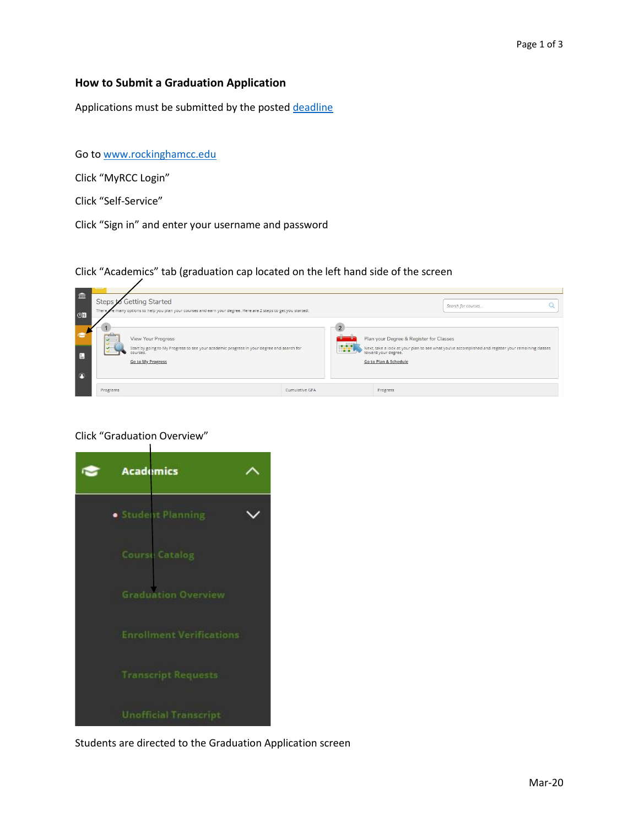## **How to Submit a Graduation Application**

Applications must be submitted by the poste[d deadline](http://www.rockinghamcc.edu/records-office/records-office)

Go to [www.rockinghamcc.edu](http://www.rockinghamcc.edu/)

Click "MyRCC Login"

Click "Self-Service"

Click "Sign in" and enter your username and password

Click "Academics" tab (graduation cap located on the left hand side of the screen



## Click "Graduation Overview"



Students are directed to the Graduation Application screen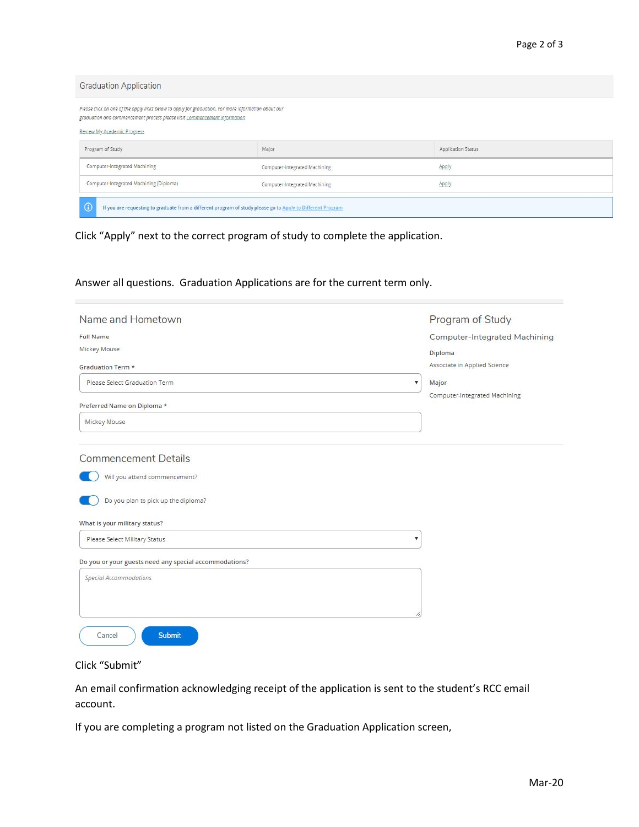| <b>Graduation Application</b>                                                                                                                                                                                    |                               |                           |  |  |
|------------------------------------------------------------------------------------------------------------------------------------------------------------------------------------------------------------------|-------------------------------|---------------------------|--|--|
| Please click on one of the apply links below to apply for graduation. For more information about our<br>graduation and commencement process please visit Commencement Information<br>Review My Academic Progress |                               |                           |  |  |
| Program of Study                                                                                                                                                                                                 | Major                         | <b>Application Status</b> |  |  |
| Computer-Integrated Machining                                                                                                                                                                                    | Computer-Integrated Machining | Apply.                    |  |  |
| Computer-Integrated Machining (Diploma)                                                                                                                                                                          | Computer-Integrated Machining | Apply.                    |  |  |
| G<br>If you are requesting to graduate from a different program of study please go to Apply to Different Program                                                                                                 |                               |                           |  |  |

Click "Apply" next to the correct program of study to complete the application.

## Answer all questions. Graduation Applications are for the current term only.

| Name and Hometown                                          | Program of Study              |
|------------------------------------------------------------|-------------------------------|
| <b>Full Name</b>                                           | Computer-Integrated Machining |
| Mickey Mouse                                               | Diploma                       |
| <b>Graduation Term *</b>                                   | Associate in Applied Science  |
| Please Select Graduation Term.<br>v                        | Major                         |
| Preferred Name on Diploma *                                | Computer-Integrated Machining |
| Mickey Mouse                                               |                               |
| <b>Commencement Details</b>                                |                               |
| Will you attend commencement?                              |                               |
| Do you plan to pick up the diploma?                        |                               |
| What is your military status?                              |                               |
| Please Select Military Status<br>$\boldsymbol{\mathrm{v}}$ |                               |
| Do you or your guests need any special accommodations?     |                               |
| Special Accommodations                                     |                               |
|                                                            |                               |
| <b>Submit</b><br>Cancel                                    |                               |



An email confirmation acknowledging receipt of the application is sent to the student's RCC email account.

If you are completing a program not listed on the Graduation Application screen,